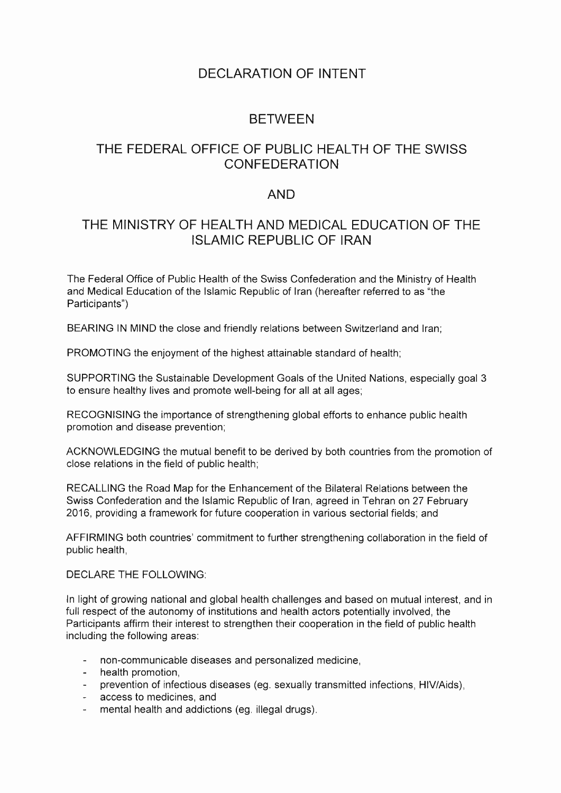# DECLARATION OF INTENT

### BETWEEN

# THE FEDERAL OFFICE OF PUBLIC HEALTH OF THE SWISS CONFEDERATION

#### **AND**

# THE MINISTRY OF HEALTH AND MEDICAL EDUCATION OF THE ISLAMIC REPUBLIC OF IRAN

The Federal Office of Public Health of the Swiss Confederation and the Ministry of Health and Medical Education of the Islamic Republic of Iran (hereafter referred to as "the Participants")

BEARING IN MIND the close and friendly relations between Switzerland and Iran;

PROMOTING the enjoyment of the highest attainable standard of health;

SUPPORTING the Sustainable Development Goals of the United Nations, especially goal 3 to ensure healthy lives and promote well-being for all at all ages;

RECOGNISING the importance of strengthening global efforts to enhance public health promotion and disease prevention;

ACKNOWLEDGING the mutual benefit to be derived by both countries from the promotion of close relations in the field of public health;

RECALLING the Road Map for the Enhancement of the Bilateral Relations between the Swiss Confederation and the Islamic Republic of Iran, agreed in Tehran on 27 February 2016, providing a framework for future cooperation in various sectorial fields; and

AFFIRMING both countries' commitment to further strengthening collaboration in the field of public health,

DECLARE THE FOLLOWING:

In light of growing national and global health challenges and based on mutual interest, and in full respect of the autonomy of institutions and health actors potentially involved, the Participants affirm their interest to strengthen their cooperation in the field of public health including the following areas:

- non-communicable diseases and personalized medicine,
- health promotion,
- prevention of infectious diseases (eg. sexually transmitted infections, HIV/Aids),
- access to medicines, and
- mental health and addictions (eg. illegal drugs).